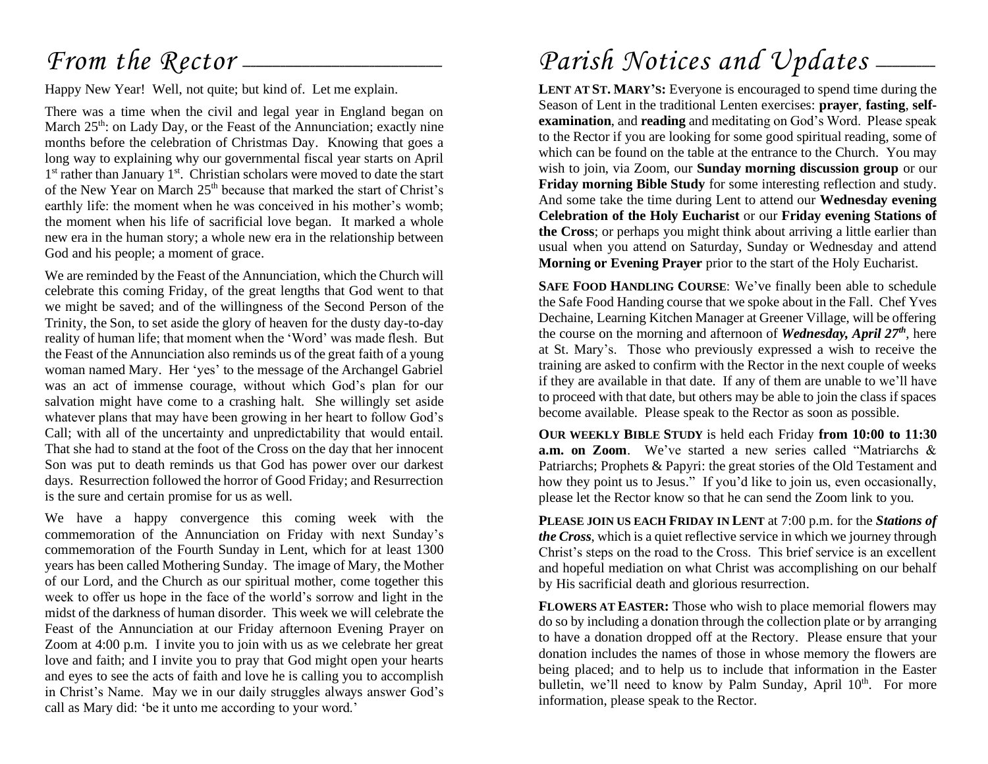## *From the Rector* —

Happy New Year! Well, not quite; but kind of. Let me explain.

There was a time when the civil and legal year in England began on March 25<sup>th</sup>: on Lady Day, or the Feast of the Annunciation; exactly nine months before the celebration of Christmas Day. Knowing that goes a long way to explaining why our governmental fiscal year starts on April 1<sup>st</sup> rather than January 1<sup>st</sup>. Christian scholars were moved to date the start of the New Year on March 25<sup>th</sup> because that marked the start of Christ's earthly life: the moment when he was conceived in his mother's womb; the moment when his life of sacrificial love began. It marked a whole new era in the human story; a whole new era in the relationship between God and his people; a moment of grace.

We are reminded by the Feast of the Annunciation, which the Church will celebrate this coming Friday, of the great lengths that God went to that we might be saved; and of the willingness of the Second Person of the Trinity, the Son, to set aside the glory of heaven for the dusty day-to-day reality of human life; that moment when the 'Word' was made flesh. But the Feast of the Annunciation also reminds us of the great faith of a young woman named Mary. Her 'yes' to the message of the Archangel Gabriel was an act of immense courage, without which God's plan for our salvation might have come to a crashing halt. She willingly set aside whatever plans that may have been growing in her heart to follow God's Call; with all of the uncertainty and unpredictability that would entail. That she had to stand at the foot of the Cross on the day that her innocent Son was put to death reminds us that God has power over our darkest days. Resurrection followed the horror of Good Friday; and Resurrection is the sure and certain promise for us as well.

We have a happy convergence this coming week with the commemoration of the Annunciation on Friday with next Sunday's commemoration of the Fourth Sunday in Lent, which for at least 1300 years has been called Mothering Sunday. The image of Mary, the Mother of our Lord, and the Church as our spiritual mother, come together this week to offer us hope in the face of the world's sorrow and light in the midst of the darkness of human disorder. This week we will celebrate the Feast of the Annunciation at our Friday afternoon Evening Prayer on Zoom at 4:00 p.m. I invite you to join with us as we celebrate her great love and faith; and I invite you to pray that God might open your hearts and eyes to see the acts of faith and love he is calling you to accomplish in Christ's Name. May we in our daily struggles always answer God's call as Mary did: 'be it unto me according to your word.'

## Parish Notices and Updates --

**LENT AT ST. MARY'S:** Everyone is encouraged to spend time during the Season of Lent in the traditional Lenten exercises: **prayer**, **fasting**, **selfexamination**, and **reading** and meditating on God's Word. Please speak to the Rector if you are looking for some good spiritual reading, some of which can be found on the table at the entrance to the Church. You may wish to join, via Zoom, our **Sunday morning discussion group** or our **Friday morning Bible Study** for some interesting reflection and study. And some take the time during Lent to attend our **Wednesday evening Celebration of the Holy Eucharist** or our **Friday evening Stations of the Cross**; or perhaps you might think about arriving a little earlier than usual when you attend on Saturday, Sunday or Wednesday and attend **Morning or Evening Prayer** prior to the start of the Holy Eucharist.

**SAFE FOOD HANDLING COURSE**: We've finally been able to schedule the Safe Food Handing course that we spoke about in the Fall. Chef Yves Dechaine, Learning Kitchen Manager at Greener Village, will be offering the course on the morning and afternoon of *Wednesday, April 27th*, here at St. Mary's. Those who previously expressed a wish to receive the training are asked to confirm with the Rector in the next couple of weeks if they are available in that date. If any of them are unable to we'll have to proceed with that date, but others may be able to join the class if spaces become available. Please speak to the Rector as soon as possible.

**OUR WEEKLY BIBLE STUDY** is held each Friday **from 10:00 to 11:30 a.m. on Zoom**. We've started a new series called "Matriarchs & Patriarchs; Prophets & Papyri: the great stories of the Old Testament and how they point us to Jesus." If you'd like to join us, even occasionally, please let the Rector know so that he can send the Zoom link to you.

**PLEASE JOIN US EACH FRIDAY IN LENT** at 7:00 p.m. for the *Stations of the Cross*, which is a quiet reflective service in which we journey through Christ's steps on the road to the Cross. This brief service is an excellent and hopeful mediation on what Christ was accomplishing on our behalf by His sacrificial death and glorious resurrection.

**FLOWERS AT EASTER:** Those who wish to place memorial flowers may do so by including a donation through the collection plate or by arranging to have a donation dropped off at the Rectory. Please ensure that your donation includes the names of those in whose memory the flowers are being placed; and to help us to include that information in the Easter bulletin, we'll need to know by Palm Sunday, April 10<sup>th</sup>. For more information, please speak to the Rector.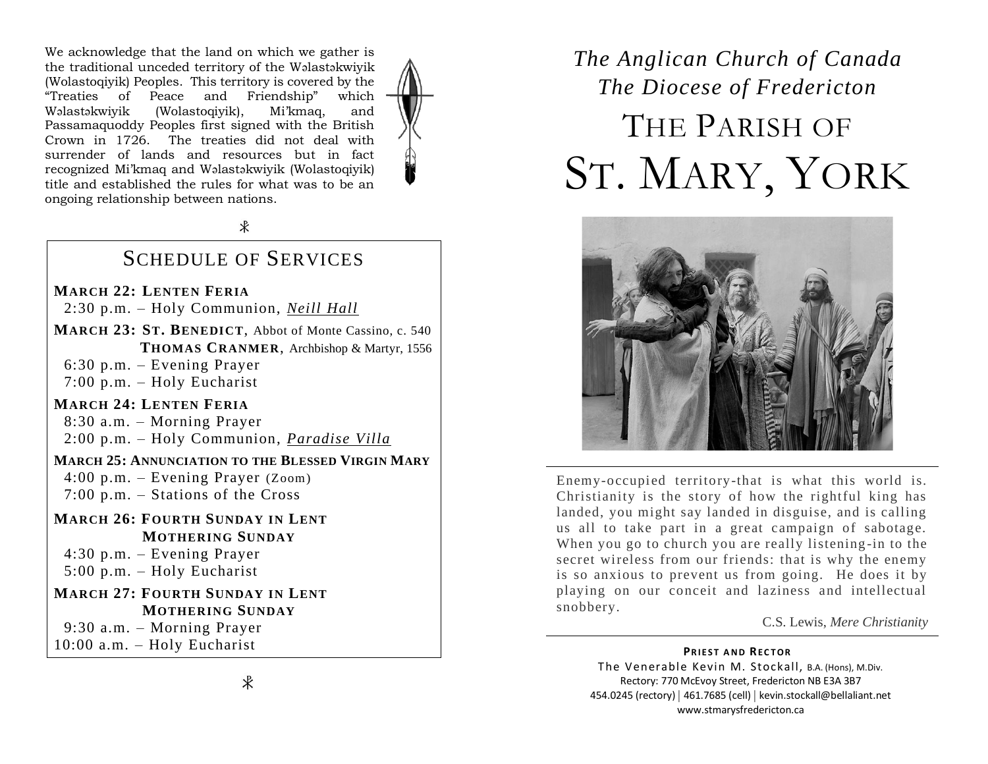We acknowledge that the land on which we gather is the traditional unceded territory of the Wəlastəkwiyik (Wolastoqiyik) Peoples. This territory is covered by the "Treaties of Peace and Friendship" which Wəlastəkwiyik (Wolastoqiyik), Mi'kmaq, and Passamaquoddy Peoples first signed with the British Crown in 1726. The treaties did not deal with surrender of lands and resources but in fact recognized Mi'kmaq and Wəlastəkwiyik (Wolastoqiyik) title and established the rules for what was to be an ongoing relationship between nations.

 $\ast$ 

### SCHEDULE OF SERVICES

### **MARCH 22: LENTEN FERIA**

2:30 p.m. – Holy Communion, *Neill Hall*

**MARCH 23: ST. BENEDICT**, Abbot of Monte Cassino, c. 540  **THOMAS CRANMER**, Archbishop & Martyr, 1556

6:30 p.m. – Evening Prayer

7:00 p.m. – Holy Eucharist

### **MARCH 24: LENTEN FERIA**

 8:30 a.m. – Morning Prayer 2:00 p.m. – Holy Communion, *Paradise Villa*

#### **MARCH 25: ANNUNCIATION TO THE BLESSED VIRGIN MARY**

 4:00 p.m. – Evening Prayer (Zoom) 7:00 p.m. – Stations of the Cross

- **MARCH 26: FOURTH SUNDAY IN LENT MOTHERING SUNDAY**
	- 4:30 p.m. Evening Prayer

5:00 p.m. – Holy Eucharist

### **MARCH 27: FOURTH SUNDAY IN LENT MOTHERING SUNDAY**

9:30 a.m. – Morning Prayer

10:00 a.m. – Holy Eucharist

## *The Anglican Church of Canada The Diocese of Fredericton* THE PARISH OF ST. MARY, YORK



Enemy-occupied territory-that is what this world is. Christianity is the story of how the rightful king has landed, you might say landed in disguise, and is calling us all to take part in a great campaign of sabotage. When you go to church you are really listening-in to the secret wireless from our friends: that is why the enemy is so anxious to prevent us from going. He does it by playing on our conceit and laziness and intellectual snobbery.

#### C.S. Lewis, *Mere Christianity*

#### **PRIEST AND RECTOR** The Venerable Kevin M. Stockall, B.A. (Hons), M.Div. Rectory: 770 McEvoy Street, Fredericton NB E3A 3B7 454.0245 (rectory) | 461.7685 (cell) | kevin.stockall@bellaliant.net

www.stmarysfredericton.ca

 $\ast$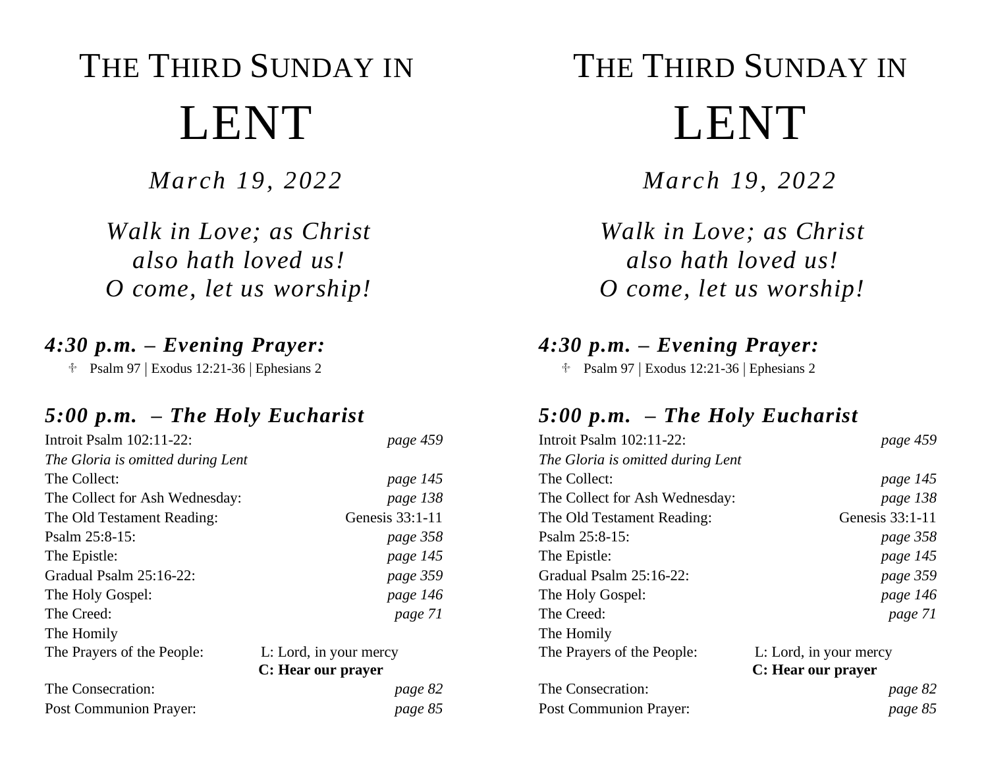# THE THIRD SUNDAY IN LENT

*March 19, 2022*

*Walk in Love; as Christ also hath loved us! O come, let us worship!*

## *4:30 p.m. – Evening Prayer:*

Psalm 97 | Exodus 12:21-36 | Ephesians 2

### *5:00 p.m. – The Holy Eucharist*

| Introit Psalm 102:11-22:          | page 459               |
|-----------------------------------|------------------------|
| The Gloria is omitted during Lent |                        |
| The Collect:                      | page 145               |
| The Collect for Ash Wednesday:    | page 138               |
| The Old Testament Reading:        | Genesis 33:1-11        |
| Psalm $25:8-15$ :                 | page 358               |
| The Epistle:                      | page 145               |
| Gradual Psalm 25:16-22:           | page 359               |
| The Holy Gospel:                  | page 146               |
| The Creed:                        | page 71                |
| The Homily                        |                        |
| The Prayers of the People:        | L: Lord, in your mercy |
|                                   | C: Hear our prayer     |
| The Consecration:                 | page 82                |
| <b>Post Communion Prayer:</b>     | page 85                |

# THE THIRD SUNDAY IN LENT

*March 19, 2022*

*Walk in Love; as Christ also hath loved us! O come, let us worship!*

## *4:30 p.m. – Evening Prayer:*

Psalm 97 | Exodus 12:21-36 | Ephesians 2

### *5:00 p.m. – The Holy Eucharist*

| Introit Psalm 102:11-22:          | page 459               |
|-----------------------------------|------------------------|
| The Gloria is omitted during Lent |                        |
| The Collect:                      | page 145               |
| The Collect for Ash Wednesday:    | page 138               |
| The Old Testament Reading:        | Genesis $33:1-11$      |
| Psalm $25:8-15$ :                 | page 358               |
| The Epistle:                      | page 145               |
| Gradual Psalm 25:16-22:           | page 359               |
| The Holy Gospel:                  | page 146               |
| The Creed:                        | page 71                |
| The Homily                        |                        |
| The Prayers of the People:        | L: Lord, in your mercy |
|                                   | C: Hear our prayer     |
| The Consecration:                 | page 82                |
| Post Communion Prayer:            | page 85                |